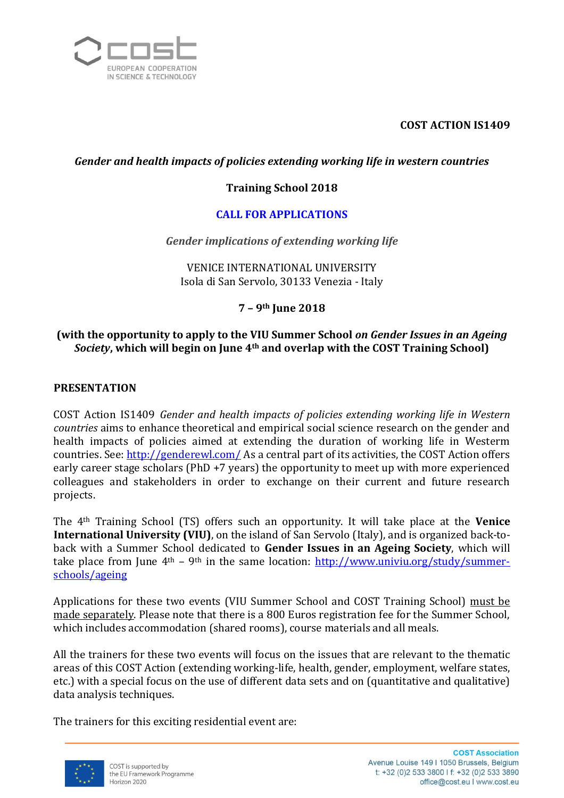

## **COST ACTION IS1409**

## *Gender and health impacts of policies extending working life in western countries*

## **Training School 2018**

## **CALL FOR APPLICATIONS**

*Gender implications of extending working life*

VENICE INTERNATIONAL UNIVERSITY Isola di San Servolo, 30133 Venezia - Italy

### **7 – 9th June 2018**

## **(with the opportunity to apply to the VIU Summer School** *on Gender Issues in an Ageing Society***, which will begin on June 4th and overlap with the COST Training School)**

### **PRESENTATION**

COST Action IS1409 *Gender and health impacts of policies extending working life in Western countries* aims to enhance theoretical and empirical social science research on the gender and health impacts of policies aimed at extending the duration of working life in Westerm countries. See[: http://genderewl.com/](http://genderewl.com/) As a central part of its activities, the COST Action offers early career stage scholars (PhD +7 years) the opportunity to meet up with more experienced colleagues and stakeholders in order to exchange on their current and future research projects.

The 4th Training School (TS) offers such an opportunity. It will take place at the **Venice International University (VIU)**, on the island of San Servolo (Italy), and is organized back-toback with a Summer School dedicated to **Gender Issues in an Ageing Society**, which will take place from June  $4<sup>th</sup>$  – 9<sup>th</sup> in the same location:  $\frac{http://www.univiu.org/study/summer-1}{}$ [schools/ageing](http://www.univiu.org/study/summer-schools/ageing)

Applications for these two events (VIU Summer School and COST Training School) must be made separately. Please note that there is a 800 Euros registration fee for the Summer School, which includes accommodation (shared rooms), course materials and all meals.

All the trainers for these two events will focus on the issues that are relevant to the thematic areas of this COST Action (extending working-life, health, gender, employment, welfare states, etc.) with a special focus on the use of different data sets and on (quantitative and qualitative) data analysis techniques.

The trainers for this exciting residential event are:

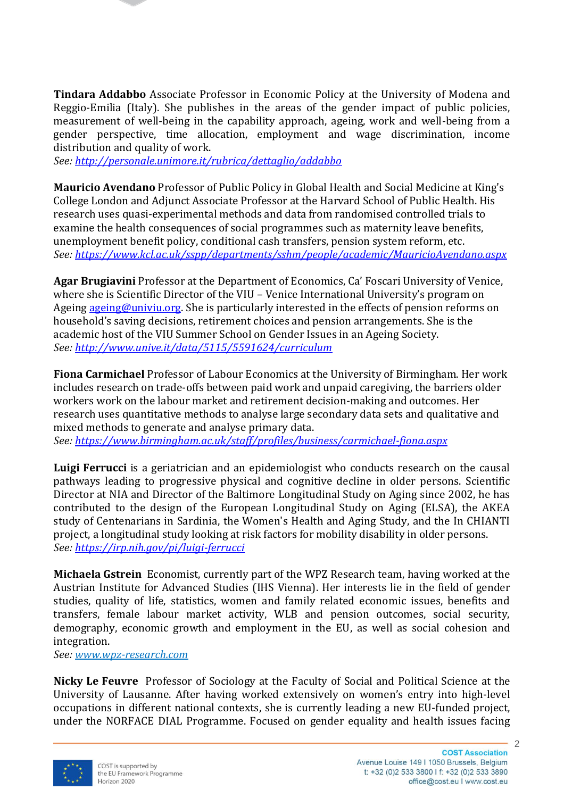**Tindara Addabbo** Associate Professor in Economic Policy at the University of Modena and Reggio-Emilia (Italy). She publishes in the areas of the gender impact of public policies, measurement of well-being in the capability approach, ageing, work and well-being from a gender perspective, time allocation, employment and wage discrimination, income distribution and quality of work.

*See:<http://personale.unimore.it/rubrica/dettaglio/addabbo>*

**Mauricio Avendano** Professor of Public Policy in Global Health and Social Medicine at King's College London and Adjunct Associate Professor at the Harvard School of Public Health. His research uses quasi-experimental methods and data from randomised controlled trials to examine the health consequences of social programmes such as maternity leave benefits, unemployment benefit policy, conditional cash transfers, pension system reform, etc. *See:<https://www.kcl.ac.uk/sspp/departments/sshm/people/academic/MauricioAvendano.aspx>*

**Agar Brugiavini** Professor at the Department of Economics, Ca' Foscari University of Venice, where she is Scientific Director of the VIU – Venice International University's program on Ageing [ageing@univiu.org.](mailto:ageing@univiu.org) She is particularly interested in the effects of pension reforms on household's saving decisions, retirement choices and pension arrangements. She is the academic host of the VIU Summer School on Gender Issues in an Ageing Society. *See:<http://www.unive.it/data/5115/5591624/curriculum>*

**Fiona Carmichael** Professor of Labour Economics at the University of Birmingham. Her work includes research on trade-offs between paid work and unpaid caregiving, the barriers older workers work on the labour market and retirement decision-making and outcomes. Her research uses quantitative methods to analyse large secondary data sets and qualitative and mixed methods to generate and analyse primary data.

*See:<https://www.birmingham.ac.uk/staff/profiles/business/carmichael-fiona.aspx>*

**Luigi Ferrucci** is a geriatrician and an epidemiologist who conducts research on the causal pathways leading to progressive physical and cognitive decline in older persons. Scientific Director at NIA and Director of the Baltimore Longitudinal Study on Aging since 2002, he has contributed to the design of the European Longitudinal Study on Aging (ELSA), the AKEA study of Centenarians in Sardinia, the Women's Health and Aging Study, and the In CHIANTI project, a longitudinal study looking at risk factors for mobility disability in older persons. *See:<https://irp.nih.gov/pi/luigi-ferrucci>*

**Michaela Gstrein** Economist, currently part of the WPZ Research team, having worked at the Austrian Institute for Advanced Studies (IHS Vienna). Her interests lie in the field of gender studies, quality of life, statistics, women and family related economic issues, benefits and transfers, female labour market activity, WLB and pension outcomes, social security, demography, economic growth and employment in the EU, as well as social cohesion and integration.

*See: [www.wpz-research.com](http://www.wpz-research.com/)*

**Nicky Le Feuvre** Professor of Sociology at the Faculty of Social and Political Science at the University of Lausanne. After having worked extensively on women's entry into high-level occupations in different national contexts, she is currently leading a new EU-funded project, under the NORFACE DIAL Programme. Focused on gender equality and health issues facing

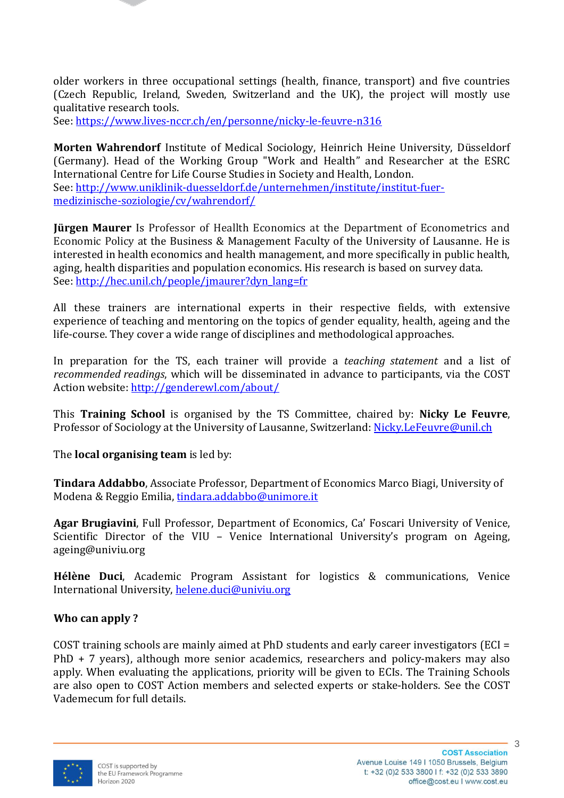older workers in three occupational settings (health, finance, transport) and five countries (Czech Republic, Ireland, Sweden, Switzerland and the UK), the project will mostly use qualitative research tools.

See:<https://www.lives-nccr.ch/en/personne/nicky-le-feuvre-n316>

**Morten Wahrendorf** Institute of Medical Sociology, Heinrich Heine University, Düsseldorf (Germany). Head of the Working Group "Work and Health" and Researcher at the ESRC International Centre for Life Course Studies in Society and Health, London. See: [http://www.uniklinik-duesseldorf.de/unternehmen/institute/institut-fuer](http://www.uniklinik-duesseldorf.de/unternehmen/institute/institut-fuer-medizinische-soziologie/cv/wahrendorf/)[medizinische-soziologie/cv/wahrendorf/](http://www.uniklinik-duesseldorf.de/unternehmen/institute/institut-fuer-medizinische-soziologie/cv/wahrendorf/)

**Jürgen Maurer** Is Professor of Heallth Economics at the Department of Econometrics and Economic Policy at the Business & Management Faculty of the University of Lausanne. He is interested in health economics and health management, and more specifically in public health, aging, health disparities and population economics. His research is based on survey data. See: [http://hec.unil.ch/people/jmaurer?dyn\\_lang=fr](http://hec.unil.ch/people/jmaurer?dyn_lang=fr)

All these trainers are international experts in their respective fields, with extensive experience of teaching and mentoring on the topics of gender equality, health, ageing and the life-course. They cover a wide range of disciplines and methodological approaches.

In preparation for the TS, each trainer will provide a *teaching statement* and a list of *recommended readings*, which will be disseminated in advance to participants, via the COST Action website:<http://genderewl.com/about/>

This **Training School** is organised by the TS Committee, chaired by: **Nicky Le Feuvre**, Professor of Sociology at the University of Lausanne, Switzerland[: Nicky.LeFeuvre@unil.ch](mailto:Nicky.LeFeuvre@unil.ch)

The **local organising team** is led by:

**Tindara Addabbo**, Associate Professor, Department of Economics Marco Biagi, University of Modena & Reggio Emilia, [tindara.addabbo@unimore.it](mailto:tindara.addabbo@unimore.it)

**Agar Brugiavini**, Full Professor, Department of Economics, Ca' Foscari University of Venice, Scientific Director of the VIU – Venice International University's program on Ageing, ageing@univiu.org

**Hélène Duci**, Academic Program Assistant for logistics & communications, Venice International University, [helene.duci@univiu.org](mailto:helene.duci@univiu.org)

## **Who can apply ?**

COST training schools are mainly aimed at PhD students and early career investigators (ECI = PhD + 7 years), although more senior academics, researchers and policy-makers may also apply. When evaluating the applications, priority will be given to ECIs. The Training Schools are also open to COST Action members and selected experts or stake-holders. See the COST Vademecum for full details.



3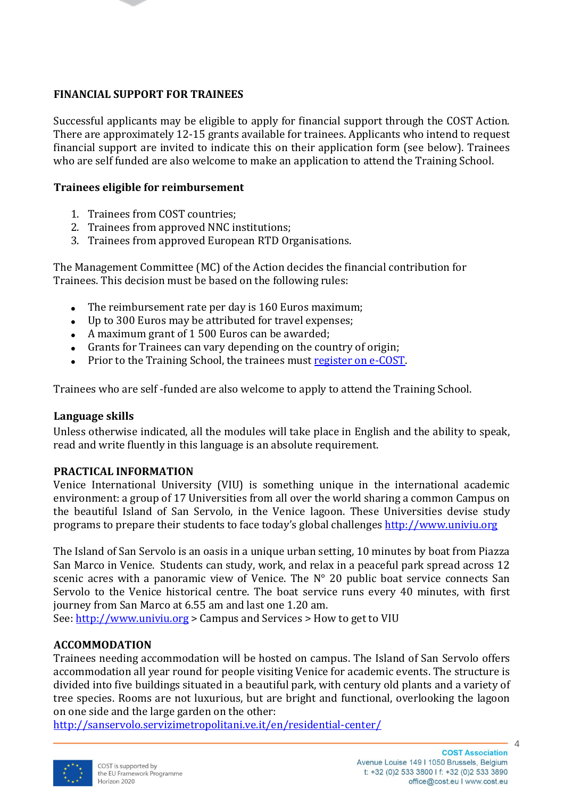## **FINANCIAL SUPPORT FOR TRAINEES**

Successful applicants may be eligible to apply for financial support through the COST Action. There are approximately 12-15 grants available for trainees. Applicants who intend to request financial support are invited to indicate this on their application form (see below). Trainees who are self funded are also welcome to make an application to attend the Training School.

#### **Trainees eligible for reimbursement**

- 1. Trainees from COST countries;
- 2. Trainees from approved NNC institutions;
- 3. Trainees from approved European RTD Organisations.

The Management Committee (MC) of the Action decides the financial contribution for Trainees. This decision must be based on the following rules:

- The reimbursement rate per day is 160 Euros maximum;  $\bullet$
- Up to 300 Euros may be attributed for travel expenses;
- A maximum grant of 1 500 Euros can be awarded;
- Grants for Trainees can vary depending on the country of origin;
- Prior to the Training School, the trainees must [register on e-COST.](https://e-services.cost.eu/)

Trainees who are self -funded are also welcome to apply to attend the Training School.

#### **Language skills**

Unless otherwise indicated, all the modules will take place in English and the ability to speak, read and write fluently in this language is an absolute requirement.

#### **PRACTICAL INFORMATION**

Venice International University (VIU) is something unique in the international academic environment: a group of 17 Universities from all over the world sharing a common Campus on the beautiful Island of San Servolo, in the Venice lagoon. These Universities devise study programs to prepare their students to face today's global challenges [http://www.univiu.org](http://www.univiu.org/)

The Island of San Servolo is an oasis in a unique urban setting, 10 minutes by boat from Piazza San Marco in Venice. Students can study, work, and relax in a peaceful park spread across 12 scenic acres with a panoramic view of Venice. The N° 20 public boat service connects San Servolo to the Venice historical centre. The boat service runs every 40 minutes, with first journey from San Marco at 6.55 am and last one 1.20 am.

See: [http://www.univiu.org](http://www.univiu.org/) > Campus and Services > How to get to VIU

#### **ACCOMMODATION**

Trainees needing accommodation will be hosted on campus. The Island of San Servolo offers accommodation all year round for people visiting Venice for academic events. The structure is divided into five buildings situated in a beautiful park, with century old plants and a variety of tree species. Rooms are not luxurious, but are bright and functional, overlooking the lagoon on one side and the large garden on the other:

<http://sanservolo.servizimetropolitani.ve.it/en/residential-center/>



4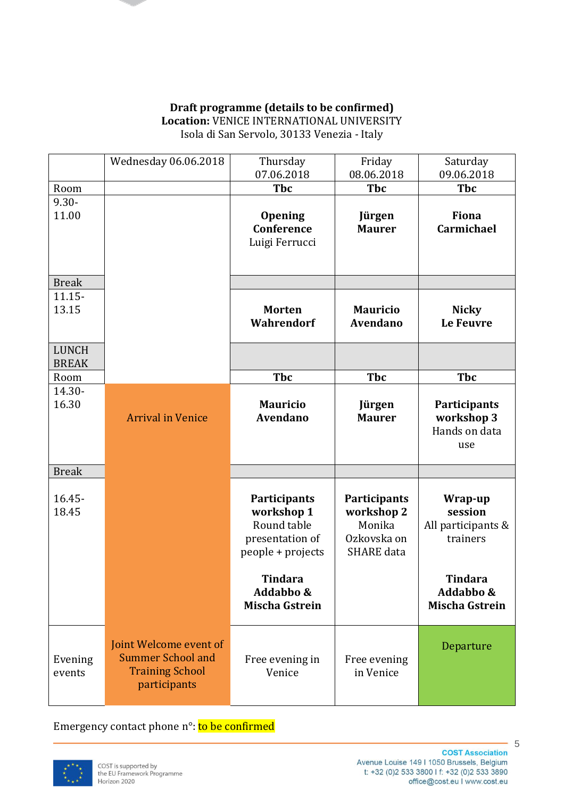#### **Draft programme (details to be confirmed) Location:** VENICE INTERNATIONAL UNIVERSITY Isola di San Servolo, 30133 Venezia - Italy

|                              | Wednesday 06.06.2018                                                                         | Thursday<br>07.06.2018                                                            | Friday<br>08.06.2018                                                     | Saturday<br>09.06.2018                                    |
|------------------------------|----------------------------------------------------------------------------------------------|-----------------------------------------------------------------------------------|--------------------------------------------------------------------------|-----------------------------------------------------------|
| Room                         |                                                                                              | <b>Tbc</b>                                                                        | <b>Tbc</b>                                                               | <b>Tbc</b>                                                |
| $9.30 -$<br>11.00            |                                                                                              | <b>Opening</b><br>Conference<br>Luigi Ferrucci                                    | Jürgen<br><b>Maurer</b>                                                  | <b>Fiona</b><br>Carmichael                                |
| <b>Break</b>                 |                                                                                              |                                                                                   |                                                                          |                                                           |
| $11.15 -$<br>13.15           |                                                                                              | <b>Morten</b><br>Wahrendorf                                                       | <b>Mauricio</b><br><b>Avendano</b>                                       | <b>Nicky</b><br><b>Le Feuvre</b>                          |
| <b>LUNCH</b><br><b>BREAK</b> |                                                                                              |                                                                                   |                                                                          |                                                           |
| Room                         |                                                                                              | <b>Tbc</b>                                                                        | <b>Tbc</b>                                                               | <b>Tbc</b>                                                |
| 14.30-<br>16.30              | <b>Arrival in Venice</b>                                                                     | <b>Mauricio</b><br><b>Avendano</b>                                                | Jürgen<br><b>Maurer</b>                                                  | <b>Participants</b><br>workshop 3<br>Hands on data<br>use |
| <b>Break</b>                 |                                                                                              |                                                                                   |                                                                          |                                                           |
| $16.45 -$<br>18.45           |                                                                                              | Participants<br>workshop 1<br>Round table<br>presentation of<br>people + projects | Participants<br>workshop 2<br>Monika<br>Ozkovska on<br><b>SHARE</b> data | Wrap-up<br>session<br>All participants &<br>trainers      |
|                              |                                                                                              | <b>Tindara</b><br>Addabbo &<br><b>Mischa Gstrein</b>                              |                                                                          | <b>Tindara</b><br>Addabbo &<br><b>Mischa Gstrein</b>      |
| Evening<br>events            | Joint Welcome event of<br><b>Summer School and</b><br><b>Training School</b><br>participants | Free evening in<br>Venice                                                         | Free evening<br>in Venice                                                | Departure                                                 |

Emergency contact phone n°: to be confirmed

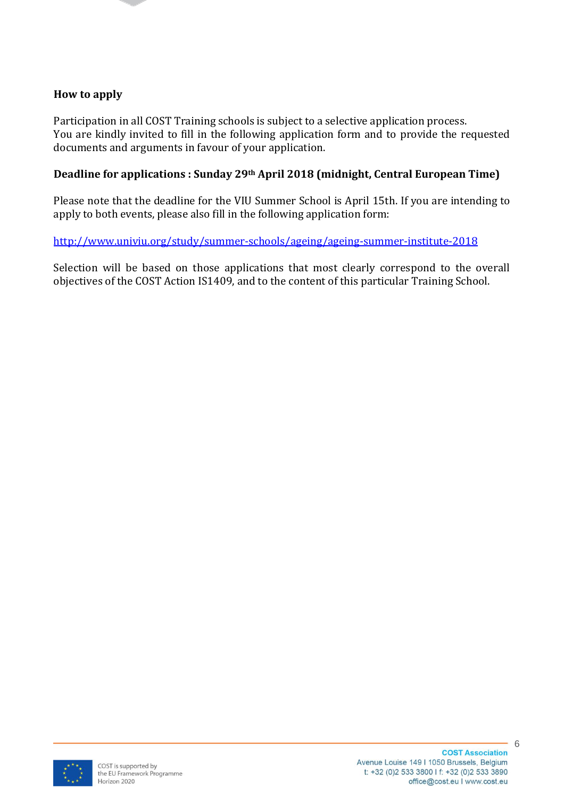#### **How to apply**

Participation in all COST Training schools is subject to a selective application process. You are kindly invited to fill in the following application form and to provide the requested documents and arguments in favour of your application.

### **Deadline for applications : Sunday 29th April 2018 (midnight, Central European Time)**

Please note that the deadline for the VIU Summer School is April 15th. If you are intending to apply to both events, please also fill in the following application form:

<http://www.univiu.org/study/summer-schools/ageing/ageing-summer-institute-2018>

Selection will be based on those applications that most clearly correspond to the overall objectives of the COST Action IS1409, and to the content of this particular Training School.

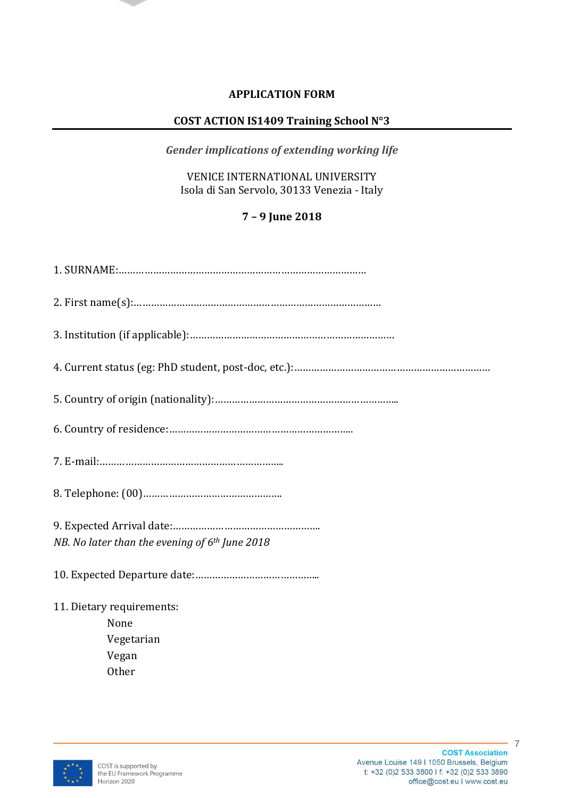## **APPLICATION FORM**

## **COST ACTION IS1409 Training School N°3**

*Gender implications of extending working life*

VENICE INTERNATIONAL UNIVERSITY Isola di San Servolo, 30133 Venezia - Italy

# **7 – 9 June 2018**

| NB. No later than the evening of $6th$ June 2018 |  |  |  |  |
|--------------------------------------------------|--|--|--|--|
|                                                  |  |  |  |  |
| 11. Dietary requirements:                        |  |  |  |  |
| None                                             |  |  |  |  |
| Vegetarian                                       |  |  |  |  |
| Vegan                                            |  |  |  |  |
| <b>Other</b>                                     |  |  |  |  |



 $-7$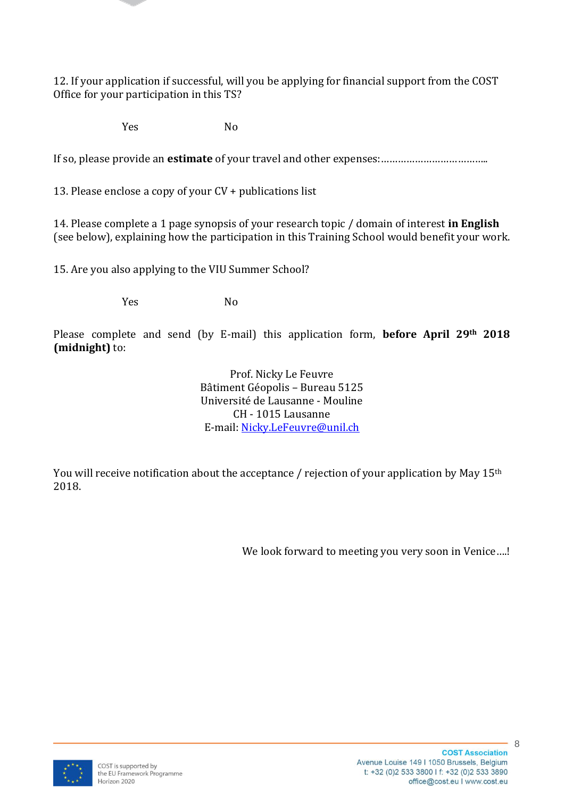12. If your application if successful, will you be applying for financial support from the COST Office for your participation in this TS?

Yes No

If so, please provide an **estimate** of your travel and other expenses:………………………………..

13. Please enclose a copy of your CV + publications list

14. Please complete a 1 page synopsis of your research topic / domain of interest **in English** (see below), explaining how the participation in this Training School would benefit your work.

15. Are you also applying to the VIU Summer School?

Yes No

Please complete and send (by E-mail) this application form, **before April 29th 2018 (midnight)** to:

> Prof. Nicky Le Feuvre Bâtiment Géopolis – Bureau 5125 Université de Lausanne - Mouline CH - 1015 Lausanne E-mail: [Nicky.LeFeuvre@unil.ch](mailto:Nicky.LeFeuvre@unil.ch)

You will receive notification about the acceptance / rejection of your application by May 15<sup>th</sup> 2018.

We look forward to meeting you very soon in Venice....!